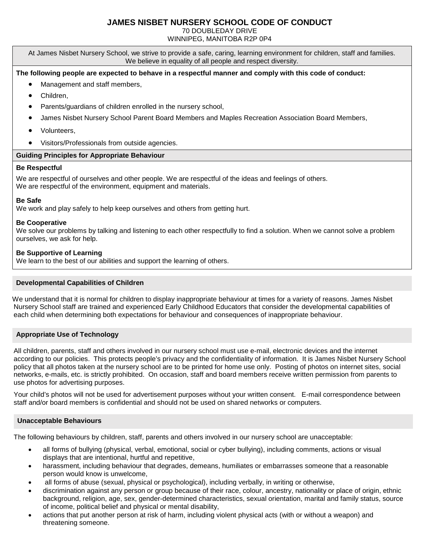# **JAMES NISBET NURSERY SCHOOL CODE OF CONDUCT**

70 DOUBLEDAY DRIVE

WINNIPEG, MANITOBA R2P 0P4

At James Nisbet Nursery School, we strive to provide a safe, caring, learning environment for children, staff and families. We believe in equality of all people and respect diversity.

# **The following people are expected to behave in a respectful manner and comply with this code of conduct:**

- Management and staff members,
- Children,
- Parents/guardians of children enrolled in the nursery school,
- James Nisbet Nursery School Parent Board Members and Maples Recreation Association Board Members,
- Volunteers,
- Visitors/Professionals from outside agencies.

#### **Guiding Principles for Appropriate Behaviour**

#### **Be Respectful**

We are respectful of ourselves and other people. We are respectful of the ideas and feelings of others. We are respectful of the environment, equipment and materials.

## **Be Safe**

We work and play safely to help keep ourselves and others from getting hurt.

#### **Be Cooperative**

We solve our problems by talking and listening to each other respectfully to find a solution. When we cannot solve a problem ourselves, we ask for help.

## **Be Supportive of Learning**

We learn to the best of our abilities and support the learning of others.

# **Developmental Capabilities of Children**

 We understand that it is normal for children to display inappropriate behaviour at times for a variety of reasons. James Nisbet Nursery School staff are trained and experienced Early Childhood Educators that consider the developmental capabilities of each child when determining both expectations for behaviour and consequences of inappropriate behaviour.

#### **Appropriate Use of Technology**

All children, parents, staff and others involved in our nursery school must use e-mail, electronic devices and the internet according to our policies. This protects people's privacy and the confidentiality of information. It is James Nisbet Nursery School policy that all photos taken at the nursery school are to be printed for home use only. Posting of photos on internet sites, social networks, e-mails, etc. is strictly prohibited. On occasion, staff and board members receive written permission from parents to use photos for advertising purposes.

Your child's photos will not be used for advertisement purposes without your written consent. E-mail correspondence between staff and/or board members is confidential and should not be used on shared networks or computers.

#### **Unacceptable Behaviours**

The following behaviours by children, staff, parents and others involved in our nursery school are unacceptable:

- all forms of bullying (physical, verbal, emotional, social or cyber bullying), including comments, actions or visual displays that are intentional, hurtful and repetitive,
- harassment, including behaviour that degrades, demeans, humiliates or embarrasses someone that a reasonable person would know is unwelcome,
- all forms of abuse (sexual, physical or psychological), including verbally, in writing or otherwise,
- discrimination against any person or group because of their race, colour, ancestry, nationality or place of origin, ethnic background, religion, age, sex, gender-determined characteristics, sexual orientation, marital and family status, source of income, political belief and physical or mental disability,
- actions that put another person at risk of harm, including violent physical acts (with or without a weapon) and threatening someone.